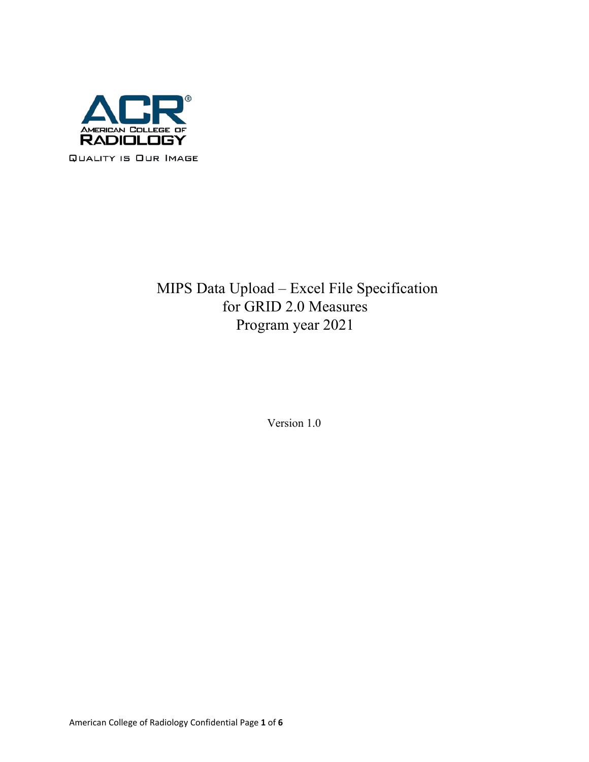

# MIPS Data Upload – Excel File Specification for GRID 2.0 Measures Program year 2021

Version 1.0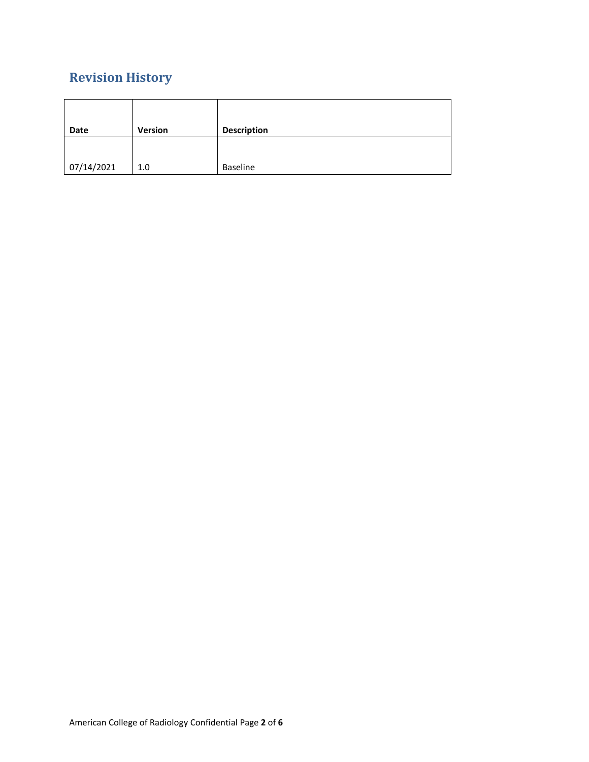# **Revision History**

| Date       | <b>Version</b> | <b>Description</b> |
|------------|----------------|--------------------|
|            |                |                    |
| 07/14/2021 | 1.0            | <b>Baseline</b>    |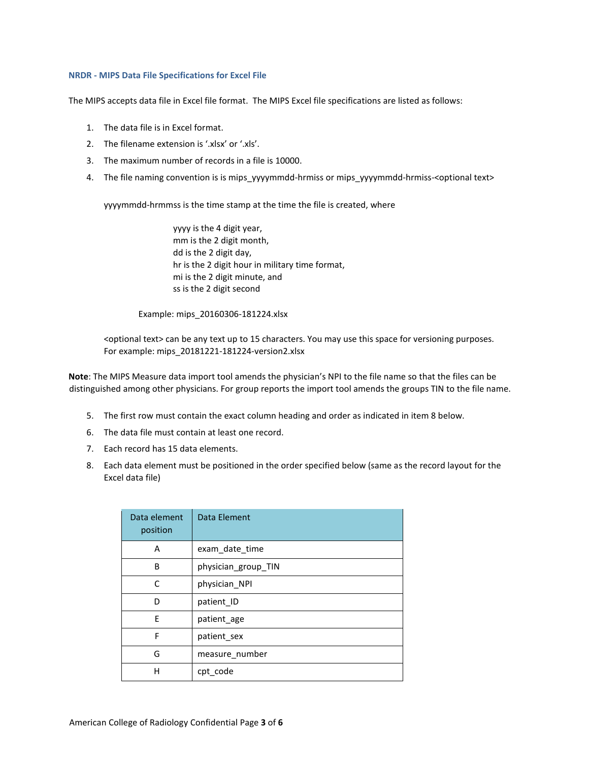#### **NRDR - MIPS Data File Specifications for Excel File**

The MIPS accepts data file in Excel file format. The MIPS Excel file specifications are listed as follows:

- 1. The data file is in Excel format.
- 2. The filename extension is '.xlsx' or '.xls'.
- 3. The maximum number of records in a file is 10000.
- 4. The file naming convention is is mips yyyymmdd-hrmiss or mips yyyymmdd-hrmiss-<optional text>

yyyymmdd-hrmmss is the time stamp at the time the file is created, where

yyyy is the 4 digit year, mm is the 2 digit month, dd is the 2 digit day, hr is the 2 digit hour in military time format, mi is the 2 digit minute, and ss is the 2 digit second

Example: mips\_20160306-181224.xlsx

<optional text> can be any text up to 15 characters. You may use this space for versioning purposes. For example: mips\_20181221-181224-version2.xlsx

**Note**: The MIPS Measure data import tool amends the physician's NPI to the file name so that the files can be distinguished among other physicians. For group reports the import tool amends the groups TIN to the file name.

- 5. The first row must contain the exact column heading and order as indicated in item 8 below.
- 6. The data file must contain at least one record.
- 7. Each record has 15 data elements.
- 8. Each data element must be positioned in the order specified below (same as the record layout for the Excel data file)

| Data element<br>position | Data Element        |
|--------------------------|---------------------|
| A                        | exam_date_time      |
| B                        | physician_group_TIN |
| C                        | physician NPI       |
| D                        | patient_ID          |
| F                        | patient age         |
| F                        | patient_sex         |
| G                        | measure number      |
| н                        | cpt code            |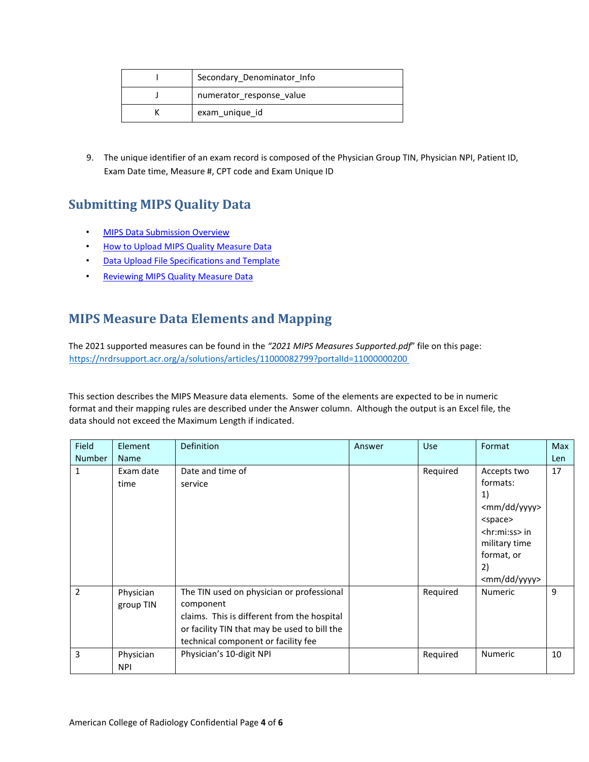| Secondary Denominator Info |
|----------------------------|
| numerator_response value   |
| exam unique id             |

9. The unique identifier of an exam record is composed of the Physician Group TIN, Physician NPI, Patient ID, Exam Date time, Measure #, CPT code and Exam Unique ID

### **Submitting MIPS Quality Data**

- [MIPS Data Submission Overview](https://nrdrsupport.acr.org/support/solutions/articles/11000037091-mips-data-submission-overview)
- [How to Upload MIPS Quality Measure Data](https://nrdrsupport.acr.org/support/solutions/articles/11000037924-how-to-upload-mips-quality-measure-data)
- [Data Upload File Specifications and Template](https://nrdrsupport.acr.org/support/solutions/articles/11000038293-data-upload-file-specifications-and-template)
- [Reviewing MIPS Quality Measure Data](https://nrdrsupport.acr.org/support/solutions/articles/11000037922-reviewing-mips-quality-measure-data)

### **MIPS Measure Data Elements and Mapping**

The 2021 supported measures can be found in the *"2021 MIPS Measures Supported.pdf*" file on this page: <https://nrdrsupport.acr.org/a/solutions/articles/11000082799?portalId=11000000200>

This section describes the MIPS Measure data elements. Some of the elements are expected to be in numeric format and their mapping rules are described under the Answer column. Although the output is an Excel file, the data should not exceed the Maximum Length if indicated.

| Field          | Element                 | <b>Definition</b>                                                                                                                                                                            | Answer | <b>Use</b> | Format                                                                                                                                                                                   | <b>Max</b> |
|----------------|-------------------------|----------------------------------------------------------------------------------------------------------------------------------------------------------------------------------------------|--------|------------|------------------------------------------------------------------------------------------------------------------------------------------------------------------------------------------|------------|
| <b>Number</b>  | <b>Name</b>             |                                                                                                                                                                                              |        |            |                                                                                                                                                                                          | Len        |
| 1              | Exam date<br>time       | Date and time of<br>service                                                                                                                                                                  |        | Required   | Accepts two<br>formats:<br>1)<br><mm dd="" yyyy=""><br/><space><br/><math>\langle</math>hr:mi:ss&gt; in<br/>military time<br/>format, or<br/>2)<br/><mm dd="" yyyy=""></mm></space></mm> | 17         |
| $\overline{2}$ | Physician<br>group TIN  | The TIN used on physician or professional<br>component<br>claims. This is different from the hospital<br>or facility TIN that may be used to bill the<br>technical component or facility fee |        | Required   | <b>Numeric</b>                                                                                                                                                                           | 9          |
| 3              | Physician<br><b>NPI</b> | Physician's 10-digit NPI                                                                                                                                                                     |        | Required   | Numeric                                                                                                                                                                                  | 10         |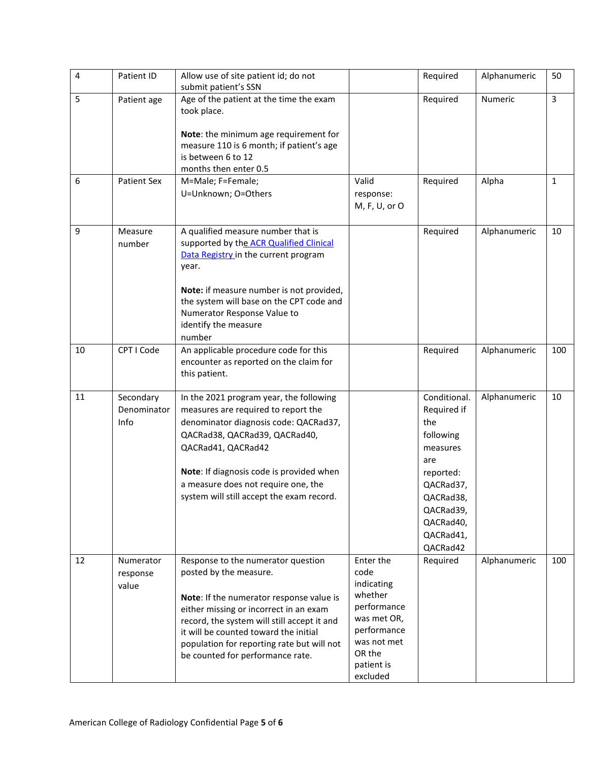| 4  | Patient ID                       | Allow use of site patient id; do not<br>submit patient's SSN                                                                                                                                                                                                                                                                 |                                                                                                                                            | Required                                                                                                                                                     | Alphanumeric | 50             |
|----|----------------------------------|------------------------------------------------------------------------------------------------------------------------------------------------------------------------------------------------------------------------------------------------------------------------------------------------------------------------------|--------------------------------------------------------------------------------------------------------------------------------------------|--------------------------------------------------------------------------------------------------------------------------------------------------------------|--------------|----------------|
| 5  | Patient age                      | Age of the patient at the time the exam<br>took place.<br>Note: the minimum age requirement for                                                                                                                                                                                                                              |                                                                                                                                            | Required                                                                                                                                                     | Numeric      | $\overline{3}$ |
|    |                                  | measure 110 is 6 month; if patient's age<br>is between 6 to 12<br>months then enter 0.5                                                                                                                                                                                                                                      |                                                                                                                                            |                                                                                                                                                              |              |                |
| 6  | <b>Patient Sex</b>               | M=Male; F=Female;<br>U=Unknown; O=Others                                                                                                                                                                                                                                                                                     | Valid<br>response:<br>M, F, U, or O                                                                                                        | Required                                                                                                                                                     | Alpha        | $\mathbf{1}$   |
| 9  | Measure<br>number                | A qualified measure number that is<br>supported by the ACR Qualified Clinical<br>Data Registry in the current program<br>year.<br>Note: if measure number is not provided,<br>the system will base on the CPT code and<br>Numerator Response Value to<br>identify the measure<br>number                                      |                                                                                                                                            | Required                                                                                                                                                     | Alphanumeric | 10             |
| 10 | CPT I Code                       | An applicable procedure code for this<br>encounter as reported on the claim for<br>this patient.                                                                                                                                                                                                                             |                                                                                                                                            | Required                                                                                                                                                     | Alphanumeric | 100            |
| 11 | Secondary<br>Denominator<br>Info | In the 2021 program year, the following<br>measures are required to report the<br>denominator diagnosis code: QACRad37,<br>QACRad38, QACRad39, QACRad40,<br>QACRad41, QACRad42<br>Note: If diagnosis code is provided when<br>a measure does not require one, the<br>system will still accept the exam record.               |                                                                                                                                            | Conditional.<br>Required if<br>the<br>following<br>measures<br>are<br>reported:<br>QACRad37,<br>QACRad38,<br>QACRad39,<br>QACRad40,<br>QACRad41,<br>QACRad42 | Alphanumeric | 10             |
| 12 | Numerator<br>response<br>value   | Response to the numerator question<br>posted by the measure.<br>Note: If the numerator response value is<br>either missing or incorrect in an exam<br>record, the system will still accept it and<br>it will be counted toward the initial<br>population for reporting rate but will not<br>be counted for performance rate. | Enter the<br>code<br>indicating<br>whether<br>performance<br>was met OR,<br>performance<br>was not met<br>OR the<br>patient is<br>excluded | Required                                                                                                                                                     | Alphanumeric | 100            |